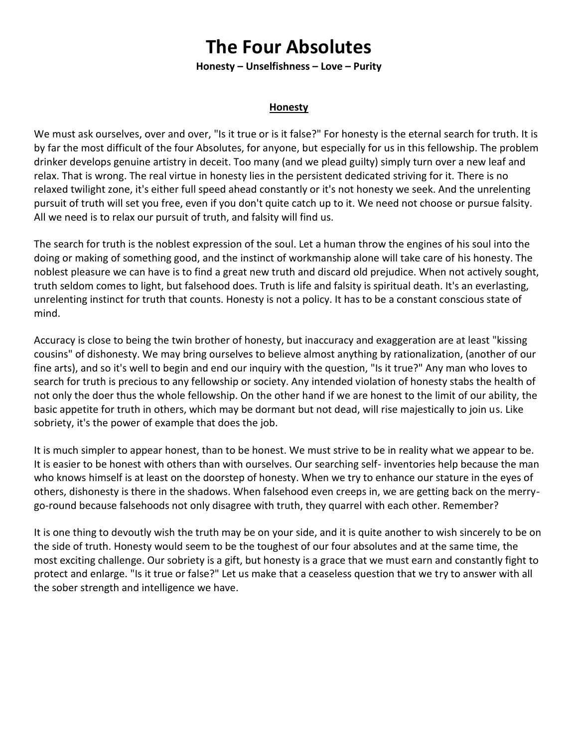# **The Four Absolutes**

**Honesty – Unselfishness – Love – Purity**

## **Honesty**

We must ask ourselves, over and over, "Is it true or is it false?" For honesty is the eternal search for truth. It is by far the most difficult of the four Absolutes, for anyone, but especially for us in this fellowship. The problem drinker develops genuine artistry in deceit. Too many (and we plead guilty) simply turn over a new leaf and relax. That is wrong. The real virtue in honesty lies in the persistent dedicated striving for it. There is no relaxed twilight zone, it's either full speed ahead constantly or it's not honesty we seek. And the unrelenting pursuit of truth will set you free, even if you don't quite catch up to it. We need not choose or pursue falsity. All we need is to relax our pursuit of truth, and falsity will find us.

The search for truth is the noblest expression of the soul. Let a human throw the engines of his soul into the doing or making of something good, and the instinct of workmanship alone will take care of his honesty. The noblest pleasure we can have is to find a great new truth and discard old prejudice. When not actively sought, truth seldom comes to light, but falsehood does. Truth is life and falsity is spiritual death. It's an everlasting, unrelenting instinct for truth that counts. Honesty is not a policy. It has to be a constant conscious state of mind.

Accuracy is close to being the twin brother of honesty, but inaccuracy and exaggeration are at least "kissing cousins" of dishonesty. We may bring ourselves to believe almost anything by rationalization, (another of our fine arts), and so it's well to begin and end our inquiry with the question, "Is it true?" Any man who loves to search for truth is precious to any fellowship or society. Any intended violation of honesty stabs the health of not only the doer thus the whole fellowship. On the other hand if we are honest to the limit of our ability, the basic appetite for truth in others, which may be dormant but not dead, will rise majestically to join us. Like sobriety, it's the power of example that does the job.

It is much simpler to appear honest, than to be honest. We must strive to be in reality what we appear to be. It is easier to be honest with others than with ourselves. Our searching self- inventories help because the man who knows himself is at least on the doorstep of honesty. When we try to enhance our stature in the eyes of others, dishonesty is there in the shadows. When falsehood even creeps in, we are getting back on the merrygo-round because falsehoods not only disagree with truth, they quarrel with each other. Remember?

It is one thing to devoutly wish the truth may be on your side, and it is quite another to wish sincerely to be on the side of truth. Honesty would seem to be the toughest of our four absolutes and at the same time, the most exciting challenge. Our sobriety is a gift, but honesty is a grace that we must earn and constantly fight to protect and enlarge. "Is it true or false?" Let us make that a ceaseless question that we try to answer with all the sober strength and intelligence we have.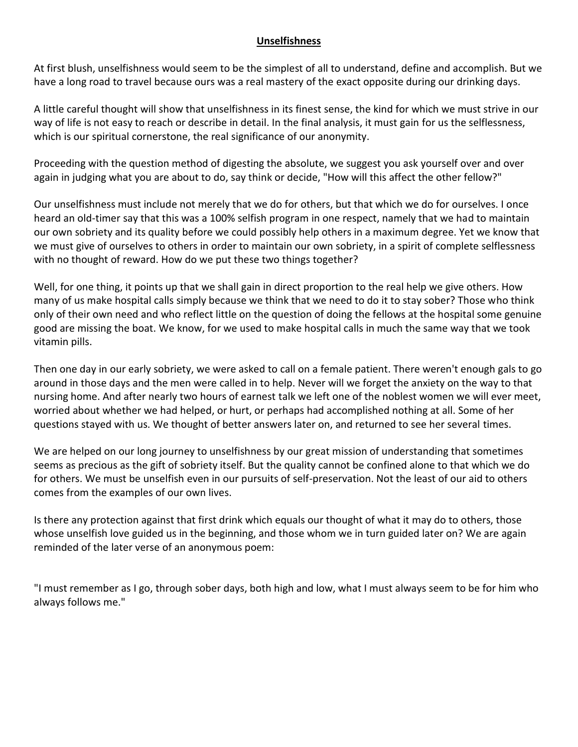# **Unselfishness**

At first blush, unselfishness would seem to be the simplest of all to understand, define and accomplish. But we have a long road to travel because ours was a real mastery of the exact opposite during our drinking days.

A little careful thought will show that unselfishness in its finest sense, the kind for which we must strive in our way of life is not easy to reach or describe in detail. In the final analysis, it must gain for us the selflessness, which is our spiritual cornerstone, the real significance of our anonymity.

Proceeding with the question method of digesting the absolute, we suggest you ask yourself over and over again in judging what you are about to do, say think or decide, "How will this affect the other fellow?"

Our unselfishness must include not merely that we do for others, but that which we do for ourselves. I once heard an old-timer say that this was a 100% selfish program in one respect, namely that we had to maintain our own sobriety and its quality before we could possibly help others in a maximum degree. Yet we know that we must give of ourselves to others in order to maintain our own sobriety, in a spirit of complete selflessness with no thought of reward. How do we put these two things together?

Well, for one thing, it points up that we shall gain in direct proportion to the real help we give others. How many of us make hospital calls simply because we think that we need to do it to stay sober? Those who think only of their own need and who reflect little on the question of doing the fellows at the hospital some genuine good are missing the boat. We know, for we used to make hospital calls in much the same way that we took vitamin pills.

Then one day in our early sobriety, we were asked to call on a female patient. There weren't enough gals to go around in those days and the men were called in to help. Never will we forget the anxiety on the way to that nursing home. And after nearly two hours of earnest talk we left one of the noblest women we will ever meet, worried about whether we had helped, or hurt, or perhaps had accomplished nothing at all. Some of her questions stayed with us. We thought of better answers later on, and returned to see her several times.

We are helped on our long journey to unselfishness by our great mission of understanding that sometimes seems as precious as the gift of sobriety itself. But the quality cannot be confined alone to that which we do for others. We must be unselfish even in our pursuits of self-preservation. Not the least of our aid to others comes from the examples of our own lives.

Is there any protection against that first drink which equals our thought of what it may do to others, those whose unselfish love guided us in the beginning, and those whom we in turn guided later on? We are again reminded of the later verse of an anonymous poem:

"I must remember as I go, through sober days, both high and low, what I must always seem to be for him who always follows me."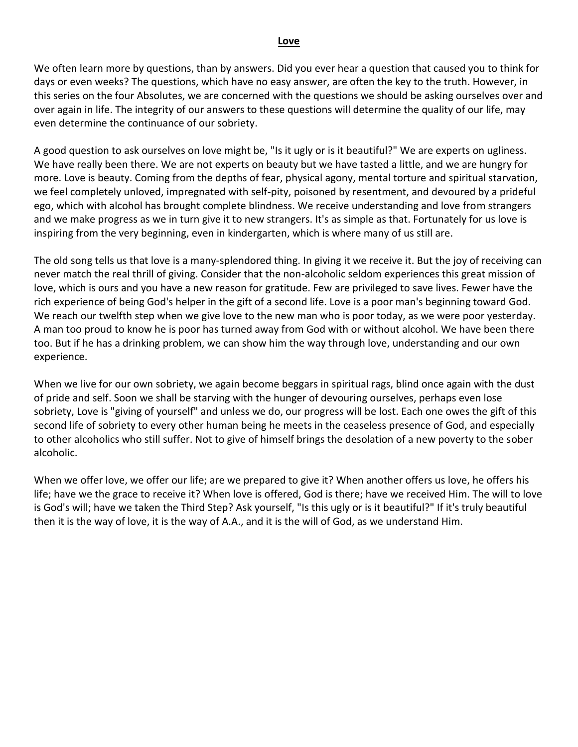#### **Love**

We often learn more by questions, than by answers. Did you ever hear a question that caused you to think for days or even weeks? The questions, which have no easy answer, are often the key to the truth. However, in this series on the four Absolutes, we are concerned with the questions we should be asking ourselves over and over again in life. The integrity of our answers to these questions will determine the quality of our life, may even determine the continuance of our sobriety.

A good question to ask ourselves on love might be, "Is it ugly or is it beautiful?" We are experts on ugliness. We have really been there. We are not experts on beauty but we have tasted a little, and we are hungry for more. Love is beauty. Coming from the depths of fear, physical agony, mental torture and spiritual starvation, we feel completely unloved, impregnated with self-pity, poisoned by resentment, and devoured by a prideful ego, which with alcohol has brought complete blindness. We receive understanding and love from strangers and we make progress as we in turn give it to new strangers. It's as simple as that. Fortunately for us love is inspiring from the very beginning, even in kindergarten, which is where many of us still are.

The old song tells us that love is a many-splendored thing. In giving it we receive it. But the joy of receiving can never match the real thrill of giving. Consider that the non-alcoholic seldom experiences this great mission of love, which is ours and you have a new reason for gratitude. Few are privileged to save lives. Fewer have the rich experience of being God's helper in the gift of a second life. Love is a poor man's beginning toward God. We reach our twelfth step when we give love to the new man who is poor today, as we were poor yesterday. A man too proud to know he is poor has turned away from God with or without alcohol. We have been there too. But if he has a drinking problem, we can show him the way through love, understanding and our own experience.

When we live for our own sobriety, we again become beggars in spiritual rags, blind once again with the dust of pride and self. Soon we shall be starving with the hunger of devouring ourselves, perhaps even lose sobriety, Love is "giving of yourself" and unless we do, our progress will be lost. Each one owes the gift of this second life of sobriety to every other human being he meets in the ceaseless presence of God, and especially to other alcoholics who still suffer. Not to give of himself brings the desolation of a new poverty to the sober alcoholic.

When we offer love, we offer our life; are we prepared to give it? When another offers us love, he offers his life; have we the grace to receive it? When love is offered, God is there; have we received Him. The will to love is God's will; have we taken the Third Step? Ask yourself, "Is this ugly or is it beautiful?" If it's truly beautiful then it is the way of love, it is the way of A.A., and it is the will of God, as we understand Him.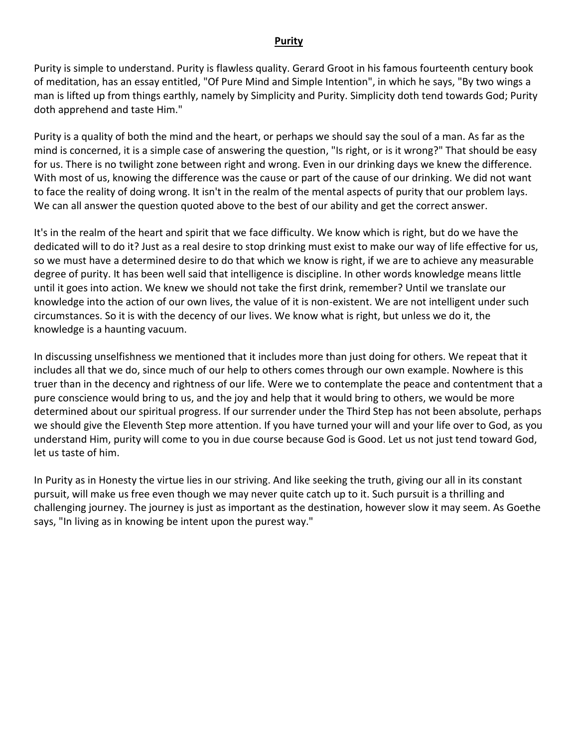### **Purity**

Purity is simple to understand. Purity is flawless quality. Gerard Groot in his famous fourteenth century book of meditation, has an essay entitled, "Of Pure Mind and Simple Intention", in which he says, "By two wings a man is lifted up from things earthly, namely by Simplicity and Purity. Simplicity doth tend towards God; Purity doth apprehend and taste Him."

Purity is a quality of both the mind and the heart, or perhaps we should say the soul of a man. As far as the mind is concerned, it is a simple case of answering the question, "Is right, or is it wrong?" That should be easy for us. There is no twilight zone between right and wrong. Even in our drinking days we knew the difference. With most of us, knowing the difference was the cause or part of the cause of our drinking. We did not want to face the reality of doing wrong. It isn't in the realm of the mental aspects of purity that our problem lays. We can all answer the question quoted above to the best of our ability and get the correct answer.

It's in the realm of the heart and spirit that we face difficulty. We know which is right, but do we have the dedicated will to do it? Just as a real desire to stop drinking must exist to make our way of life effective for us, so we must have a determined desire to do that which we know is right, if we are to achieve any measurable degree of purity. It has been well said that intelligence is discipline. In other words knowledge means little until it goes into action. We knew we should not take the first drink, remember? Until we translate our knowledge into the action of our own lives, the value of it is non-existent. We are not intelligent under such circumstances. So it is with the decency of our lives. We know what is right, but unless we do it, the knowledge is a haunting vacuum.

In discussing unselfishness we mentioned that it includes more than just doing for others. We repeat that it includes all that we do, since much of our help to others comes through our own example. Nowhere is this truer than in the decency and rightness of our life. Were we to contemplate the peace and contentment that a pure conscience would bring to us, and the joy and help that it would bring to others, we would be more determined about our spiritual progress. If our surrender under the Third Step has not been absolute, perhaps we should give the Eleventh Step more attention. If you have turned your will and your life over to God, as you understand Him, purity will come to you in due course because God is Good. Let us not just tend toward God, let us taste of him.

In Purity as in Honesty the virtue lies in our striving. And like seeking the truth, giving our all in its constant pursuit, will make us free even though we may never quite catch up to it. Such pursuit is a thrilling and challenging journey. The journey is just as important as the destination, however slow it may seem. As Goethe says, "In living as in knowing be intent upon the purest way."